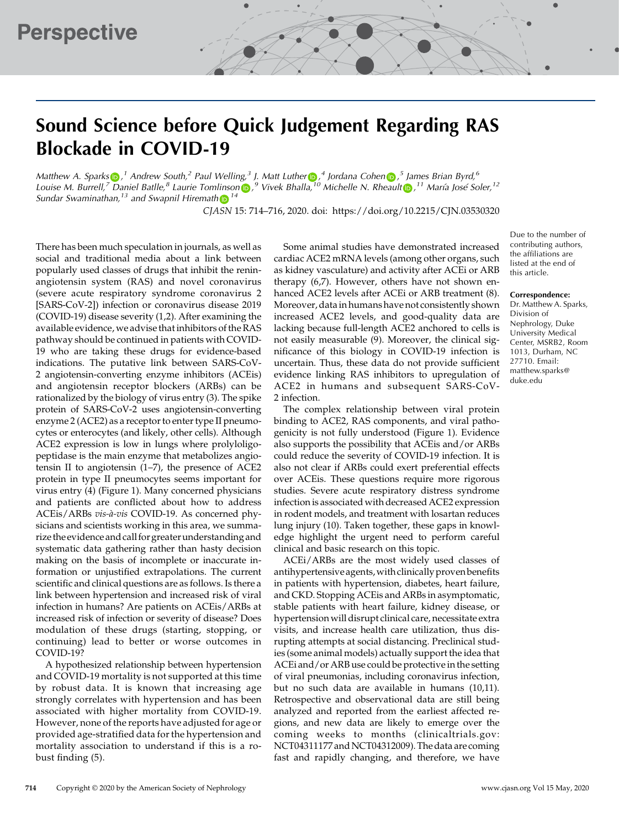# Sound Science before Quick Judgement Regarding RAS Blockade in COVID-19

Matthew A. Sparks $\bigcirc$ , <sup>1</sup> A[n](https://orcid.org/0000-0003-4649-079X)drew South, <sup>2</sup> Paul Welling, <sup>3</sup> J. Matt Luther  $\bigcirc$ , <sup>4</sup> Jordana Cohen  $\bigcirc$ , <sup>5</sup> James Brian Byrd, <sup>6</sup> Louise M. Burrell,<sup>[7](https://orcid.org/0000-0003-2075-2691)</sup> Daniel Batlle[,](https://orcid.org/0000-0001-8848-9493)<sup>8</sup> Laurie Tomlinson <mark>(b</mark>.,<sup>9</sup> Vivek Bhalla,<sup>[10](https://orcid.org/0000-0001-7225-2897)</sup> Michelle N. Rheault (**b.**,<sup>11</sup> María José Soler,<sup>12</sup> Sundar Swaminat[h](https://orcid.org/0000-0003-0010-3416)an,<sup>13</sup> and Swapnil Hiremath  $\mathbb{D}^{14}$ 

CJASN 15: 714–716, 2020. doi:<https://doi.org/10.2215/CJN.03530320>

There has been much speculation in journals, as well as social and traditional media about a link between popularly used classes of drugs that inhibit the reninangiotensin system (RAS) and novel coronavirus (severe acute respiratory syndrome coronavirus 2 [SARS-CoV-2]) infection or coronavirus disease 2019 (COVID-19) disease severity (1,2). After examining the available evidence, we advise that inhibitors of the RAS pathway should be continued in patients with COVID-19 who are taking these drugs for evidence-based indications. The putative link between SARS-CoV-2 angiotensin-converting enzyme inhibitors (ACEis) and angiotensin receptor blockers (ARBs) can be rationalized by the biology of virus entry (3). The spike protein of SARS-CoV-2 uses angiotensin-converting enzyme 2 (ACE2) as a receptor to enter type II pneumocytes or enterocytes (and likely, other cells). Although ACE2 expression is low in lungs where prolyloligopeptidase is the main enzyme that metabolizes angiotensin II to angiotensin (1–7), the presence of ACE2 protein in type II pneumocytes seems important for virus entry (4) (Figure 1). Many concerned physicians and patients are conflicted about how to address ACEis/ARBs vis-à-vis COVID-19. As concerned physicians and scientists working in this area, we summarize the evidence and call for greater understanding and systematic data gathering rather than hasty decision making on the basis of incomplete or inaccurate information or unjustified extrapolations. The current scientific and clinical questions are as follows. Is there a link between hypertension and increased risk of viral infection in humans? Are patients on ACEis/ARBs at increased risk of infection or severity of disease? Does modulation of these drugs (starting, stopping, or continuing) lead to better or worse outcomes in COVID-19?

A hypothesized relationship between hypertension and COVID-19 mortality is not supported at this time by robust data. It is known that increasing age strongly correlates with hypertension and has been associated with higher mortality from COVID-19. However, none of the reports have adjusted for age or provided age-stratified data for the hypertension and mortality association to understand if this is a robust finding (5).

Some animal studies have demonstrated increased cardiac ACE2 mRNA levels (among other organs, such as kidney vasculature) and activity after ACEi or ARB therapy (6,7). However, others have not shown enhanced ACE2 levels after ACEi or ARB treatment (8). Moreover, data in humans have not consistently shown increased ACE2 levels, and good-quality data are lacking because full-length ACE2 anchored to cells is not easily measurable (9). Moreover, the clinical significance of this biology in COVID-19 infection is uncertain. Thus, these data do not provide sufficient evidence linking RAS inhibitors to upregulation of ACE2 in humans and subsequent SARS-CoV-2 infection.

The complex relationship between viral protein binding to ACE2, RAS components, and viral pathogenicity is not fully understood (Figure 1). Evidence also supports the possibility that ACEis and/or ARBs could reduce the severity of COVID-19 infection. It is also not clear if ARBs could exert preferential effects over ACEis. These questions require more rigorous studies. Severe acute respiratory distress syndrome infection is associated with decreased ACE2 expression in rodent models, and treatment with losartan reduces lung injury (10). Taken together, these gaps in knowledge highlight the urgent need to perform careful clinical and basic research on this topic.

ACEi/ARBs are the most widely used classes of antihypertensive agents, with clinically proven benefits in patients with hypertension, diabetes, heart failure, and CKD. Stopping ACEis and ARBs in asymptomatic, stable patients with heart failure, kidney disease, or hypertension will disrupt clinical care, necessitate extra visits, and increase health care utilization, thus disrupting attempts at social distancing. Preclinical studies (some animal models) actually support the idea that ACEi and/or ARB use could be protective in the setting of viral pneumonias, including coronavirus infection, but no such data are available in humans (10,11). Retrospective and observational data are still being analyzed and reported from the earliest affected regions, and new data are likely to emerge over the coming weeks to months (clinicaltrials.gov: NCT04311177 and NCT04312009). The data are coming fast and rapidly changing, and therefore, we have

Due to the number of contributing authors, the affiliations are listed at the end of this article.

#### Correspondence:

Dr. Matthew A. Sparks, Division of Nephrology, Duke University Medical Center, MSRB2, Room 1013, Durham, NC 27710. Email: [matthew.sparks@](mailto:matthew.sparks@duke.edu) [duke.edu](mailto:matthew.sparks@duke.edu)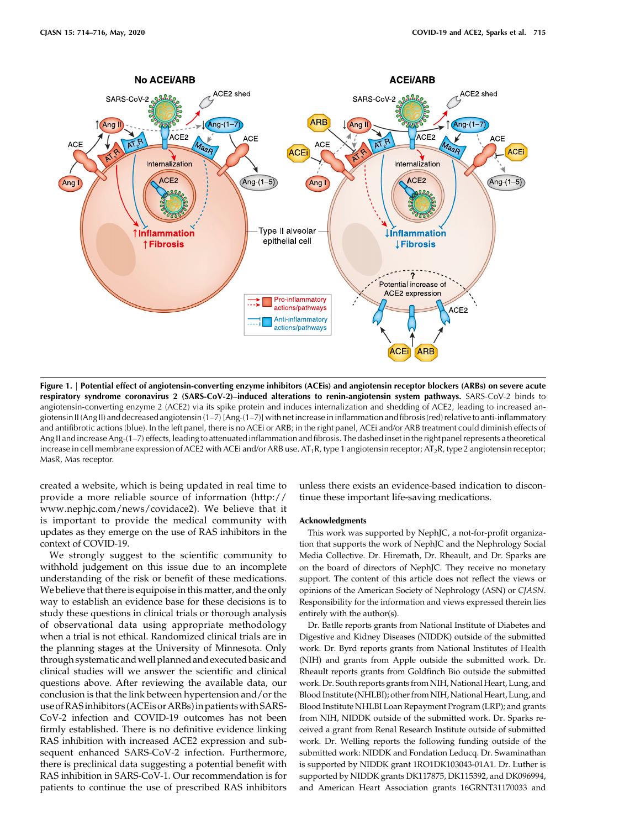

Figure 1. | Potential effect of angiotensin-converting enzyme inhibitors (ACEis) and angiotensin receptor blockers (ARBs) on severe acute respiratory syndrome coronavirus 2 (SARS-CoV-2)–induced alterations to renin-angiotensin system pathways. SARS-CoV-2 binds to angiotensin-converting enzyme 2 (ACE2) via its spike protein and induces internalization and shedding of ACE2, leading to increased angiotensin II (Ang II) and decreased angiotensin (1–7) [Ang-(1–7)] with net increase in inflammation and fibrosis (red) relativeto anti-inflammatory and antifibrotic actions (blue). In the left panel, there is no ACEi or ARB; in the right panel, ACEi and/or ARB treatment could diminish effects of Ang II and increase Ang-(1–7) effects, leading to attenuated inflammation and fibrosis. The dashed inset in the right panel represents a theoretical increase in cell membrane expression of ACE2 with ACEi and/or ARB use.  $AT_1R$ , type 1 angiotensin receptor;  $AT_2R$ , type 2 angiotensin receptor; MasR, Mas receptor.

created a website, which is being updated in real time to provide a more reliable source of information [\(http://](http://www.nephjc.com/news/covidace2) [www.nephjc.com/news/covidace2](http://www.nephjc.com/news/covidace2)). We believe that it is important to provide the medical community with updates as they emerge on the use of RAS inhibitors in the context of COVID-19.

We strongly suggest to the scientific community to withhold judgement on this issue due to an incomplete understanding of the risk or benefit of these medications. We believe that there is equipoise in this matter, and the only way to establish an evidence base for these decisions is to study these questions in clinical trials or thorough analysis of observational data using appropriate methodology when a trial is not ethical. Randomized clinical trials are in the planning stages at the University of Minnesota. Only through systematic andwell planned and executed basic and clinical studies will we answer the scientific and clinical questions above. After reviewing the available data, our conclusion is that the link between hypertension and/or the use ofRASinhibitors (ACEis or ARBs)in patients with SARS-CoV-2 infection and COVID-19 outcomes has not been firmly established. There is no definitive evidence linking RAS inhibition with increased ACE2 expression and subsequent enhanced SARS-CoV-2 infection. Furthermore, there is preclinical data suggesting a potential benefit with RAS inhibition in SARS-CoV-1. Our recommendation is for patients to continue the use of prescribed RAS inhibitors

unless there exists an evidence-based indication to discontinue these important life-saving medications.

# Acknowledgments

This work was supported by NephJC, a not-for-profit organization that supports the work of NephJC and the Nephrology Social Media Collective. Dr. Hiremath, Dr. Rheault, and Dr. Sparks are on the board of directors of NephJC. They receive no monetary support. The content of this article does not reflect the views or opinions of the American Society of Nephrology (ASN) or CJASN. Responsibility for the information and views expressed therein lies entirely with the author(s).

Dr. Batlle reports grants from [National Institute of Diabetes and](https://doi.org/10.13039/100000062 National should be on 1 line RO1DK104785 ) [Digestive and Kidney Diseases](https://doi.org/10.13039/100000062 National should be on 1 line RO1DK104785 ) (NIDDK) outside of the submitted work. Dr. Byrd reports grants from [National Institutes of Health](https://doi.org/10.13039/100000002) [\(NIH\)](https://doi.org/10.13039/100000002) and grants from Apple outside the submitted work. Dr. Rheault reports grants from Goldfinch Bio outside the submitted work. Dr. South reports grants from NIH, [National Heart, Lung, and](https://doi.org/10.13039/100000050) [Blood Institute \(NHLBI\);](https://doi.org/10.13039/100000050) other from NIH, [National Heart, Lung, and](https://doi.org/10.13039/100000050) [Blood Institute NHLBI Loan Repayment Program](https://doi.org/10.13039/100000050) (LRP); and grants from NIH, NIDDK outside of the submitted work. Dr. Sparks received a grant from Renal Research Institute outside of submitted work. Dr. Welling reports the following funding outside of the submitted work: NIDDK and [Fondation Leducq.](https://doi.org/10.13039/501100001674) Dr. Swaminathan is supported by NIDDK grant 1RO1DK103043-01A1. Dr. Luther is supported by NIDDK grants DK117875, DK115392, and DK096994, and American Heart Association grants 16GRNT31170033 and